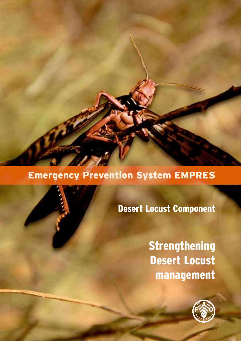## Emergency Prevention System EMPRES

Desert Locust Component

**Strengthening** Desert Locust management

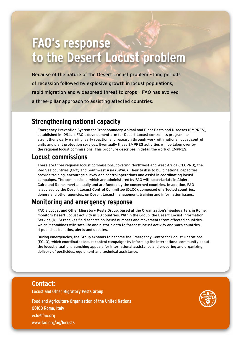# **FAO's response to the Desert Locust problem**

Because of the nature of the Desert Locust problem – long periods of recession followed by explosive growth in locust populations, rapid migration and widespread threat to crops – FAO has evolved a three-pillar approach to assisting affected countries.

### **Strengthening national capacity**

Emergency Prevention System for Transboundary Animal and Plant Pests and Diseases (EMPRES), established in 1994, is FAO's development arm for Desert Locust control. Its programme strengthens early warning, early reaction and research through work with national locust control units and plant protection services. Eventually these EMPRES activities will be taken over by the regional locust commissions. This brochure describes in detail the work of EMPRES.

### **Locust commissions**

There are three regional locust commissions, covering Northwest and West Africa (CLCPRO), the Red Sea countries (CRC) and Southwest Asia (SWAC). Their task is to build national capacities, provide training, encourage survey and control operations and assist in coordinating locust campaigns. The commissions, which are administered by FAO with secretariats in Algiers, Cairo and Rome, meet annually and are funded by the concerned countries. In addition, FAO is advised by the Desert Locust Control Committee (DLCC), composed of affected countries, donors and other agencies, on Desert Locust management, training and information issues.

### **Monitoring and emergency response**

FAO's Locust and Other Migratory Pests Group, based at the Organization's headquarters in Rome, monitors Desert Locust activity in 30 countries. Within the Group, the Desert Locust Information Service (DLIS) receives field reports on locust numbers and movements from affected countries, which it combines with satellite and historic data to forecast locust activity and warn countries. It publishes bulletins, alerts and updates.

During emergencies, the Group expands to become the Emergency Centre for Locust Operations (ECLO), which coordinates locust control campaigns by informing the international community about the locust situation, launching appeals for international assistance and procuring and organizing delivery of pesticides, equipment and technical assistance.

#### **Contact**:

Locust and Other Migratory Pests Group

Food and Agriculture Organization of the United Nations 00100 Rome, Italy eclo@fao.org www.fao.org/ag/locusts